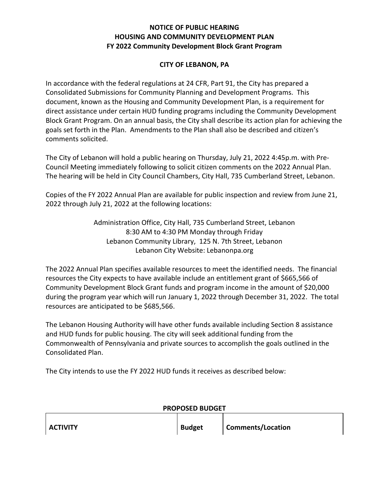## **NOTICE OF PUBLIC HEARING HOUSING AND COMMUNITY DEVELOPMENT PLAN FY 2022 Community Development Block Grant Program**

## **CITY OF LEBANON, PA**

In accordance with the federal regulations at 24 CFR, Part 91, the City has prepared a Consolidated Submissions for Community Planning and Development Programs. This document, known as the Housing and Community Development Plan, is a requirement for direct assistance under certain HUD funding programs including the Community Development Block Grant Program. On an annual basis, the City shall describe its action plan for achieving the goals set forth in the Plan. Amendments to the Plan shall also be described and citizen's comments solicited.

The City of Lebanon will hold a public hearing on Thursday, July 21, 2022 4:45p.m. with Pre-Council Meeting immediately following to solicit citizen comments on the 2022 Annual Plan. The hearing will be held in City Council Chambers, City Hall, 735 Cumberland Street, Lebanon.

Copies of the FY 2022 Annual Plan are available for public inspection and review from June 21, 2022 through July 21, 2022 at the following locations:

> Administration Office, City Hall, 735 Cumberland Street, Lebanon 8:30 AM to 4:30 PM Monday through Friday Lebanon Community Library, 125 N. 7th Street, Lebanon Lebanon City Website: Lebanonpa.org

The 2022 Annual Plan specifies available resources to meet the identified needs. The financial resources the City expects to have available include an entitlement grant of \$665,566 of Community Development Block Grant funds and program income in the amount of \$20,000 during the program year which will run January 1, 2022 through December 31, 2022. The total resources are anticipated to be \$685,566.

The Lebanon Housing Authority will have other funds available including Section 8 assistance and HUD funds for public housing. The city will seek additional funding from the Commonwealth of Pennsylvania and private sources to accomplish the goals outlined in the Consolidated Plan.

The City intends to use the FY 2022 HUD funds it receives as described below:

| <b>PROPOSED BUDGET</b> |               |                   |  |
|------------------------|---------------|-------------------|--|
| <b>ACTIVITY</b>        | <b>Budget</b> | Comments/Location |  |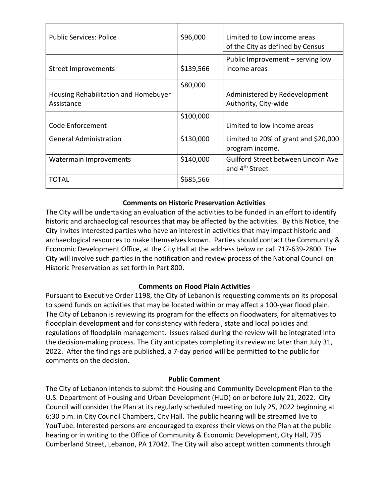| <b>Public Services: Police</b>       | \$96,000  | Limited to Low income areas<br>of the City as defined by Census |
|--------------------------------------|-----------|-----------------------------------------------------------------|
| Street Improvements                  | \$139,566 | Public Improvement - serving low<br>income areas                |
|                                      | \$80,000  |                                                                 |
| Housing Rehabilitation and Homebuyer |           | Administered by Redevelopment                                   |
| Assistance                           |           | Authority, City-wide                                            |
|                                      | \$100,000 |                                                                 |
| Code Enforcement                     |           | Limited to low income areas                                     |
| <b>General Administration</b>        | \$130,000 | Limited to 20% of grant and $$20,000$                           |
|                                      |           | program income.                                                 |
| <b>Watermain Improvements</b>        | \$140,000 | Guilford Street between Lincoln Ave                             |
|                                      |           | and 4 <sup>th</sup> Street                                      |
| TOTAL                                | \$685,566 |                                                                 |

## **Comments on Historic Preservation Activities**

The City will be undertaking an evaluation of the activities to be funded in an effort to identify historic and archaeological resources that may be affected by the activities. By this Notice, the City invites interested parties who have an interest in activities that may impact historic and archaeological resources to make themselves known. Parties should contact the Community & Economic Development Office, at the City Hall at the address below or call 717-639-2800. The City will involve such parties in the notification and review process of the National Council on Historic Preservation as set forth in Part 800.

# **Comments on Flood Plain Activities**

Pursuant to Executive Order 1198, the City of Lebanon is requesting comments on its proposal to spend funds on activities that may be located within or may affect a 100-year flood plain. The City of Lebanon is reviewing its program for the effects on floodwaters, for alternatives to floodplain development and for consistency with federal, state and local policies and regulations of floodplain management. Issues raised during the review will be integrated into the decision-making process. The City anticipates completing its review no later than July 31, 2022. After the findings are published, a 7-day period will be permitted to the public for comments on the decision.

#### **Public Comment**

The City of Lebanon intends to submit the Housing and Community Development Plan to the U.S. Department of Housing and Urban Development (HUD) on or before July 21, 2022. City Council will consider the Plan at its regularly scheduled meeting on July 25, 2022 beginning at 6:30 p.m. in City Council Chambers, City Hall. The public hearing will be streamed live to YouTube. Interested persons are encouraged to express their views on the Plan at the public hearing or in writing to the Office of Community & Economic Development, City Hall, 735 Cumberland Street, Lebanon, PA 17042. The City will also accept written comments through